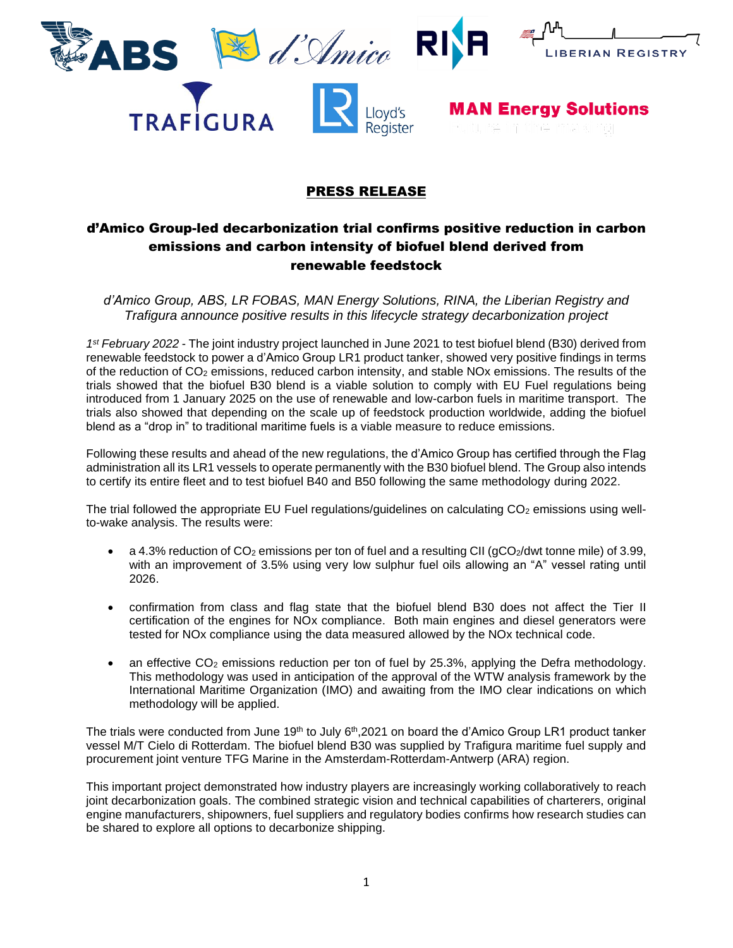







**MAN Energy Solutions** 

## PRESS RELEASE

# d'Amico Group-led decarbonization trial confirms positive reduction in carbon emissions and carbon intensity of biofuel blend derived from renewable feedstock

*d'Amico Group, ABS, LR FOBAS, MAN Energy Solutions, RINA, the Liberian Registry and Trafigura announce positive results in this lifecycle strategy decarbonization project*

*1 st February 2022* - The joint industry project launched in June 2021 to test biofuel blend (B30) derived from renewable feedstock to power a d'Amico Group LR1 product tanker, showed very positive findings in terms of the reduction of CO<sup>2</sup> emissions, reduced carbon intensity, and stable NOx emissions. The results of the trials showed that the biofuel B30 blend is a viable solution to comply with EU Fuel regulations being introduced from 1 January 2025 on the use of renewable and low-carbon fuels in maritime transport. The trials also showed that depending on the scale up of feedstock production worldwide, adding the biofuel blend as a "drop in" to traditional maritime fuels is a viable measure to reduce emissions.

Following these results and ahead of the new regulations, the d'Amico Group has certified through the Flag administration all its LR1 vessels to operate permanently with the B30 biofuel blend. The Group also intends to certify its entire fleet and to test biofuel B40 and B50 following the same methodology during 2022.

The trial followed the appropriate EU Fuel regulations/guidelines on calculating  $CO<sub>2</sub>$  emissions using wellto-wake analysis. The results were:

- a 4.3% reduction of  $CO<sub>2</sub>$  emissions per ton of fuel and a resulting CII (gCO<sub>2</sub>/dwt tonne mile) of 3.99, with an improvement of 3.5% using very low sulphur fuel oils allowing an "A" vessel rating until 2026.
- confirmation from class and flag state that the biofuel blend B30 does not affect the Tier II certification of the engines for NOx compliance. Both main engines and diesel generators were tested for NOx compliance using the data measured allowed by the NOx technical code.
- an effective  $CO<sub>2</sub>$  emissions reduction per ton of fuel by 25.3%, applying the Defra methodology. This methodology was used in anticipation of the approval of the WTW analysis framework by the International Maritime Organization (IMO) and awaiting from the IMO clear indications on which methodology will be applied.

The trials were conducted from June 19<sup>th</sup> to July 6<sup>th</sup>,2021 on board the d'Amico Group LR1 product tanker vessel M/T Cielo di Rotterdam. The biofuel blend B30 was supplied by Trafigura maritime fuel supply and procurement joint venture TFG Marine in the Amsterdam-Rotterdam-Antwerp (ARA) region.

This important project demonstrated how industry players are increasingly working collaboratively to reach joint decarbonization goals. The combined strategic vision and technical capabilities of charterers, original engine manufacturers, shipowners, fuel suppliers and regulatory bodies confirms how research studies can be shared to explore all options to decarbonize shipping.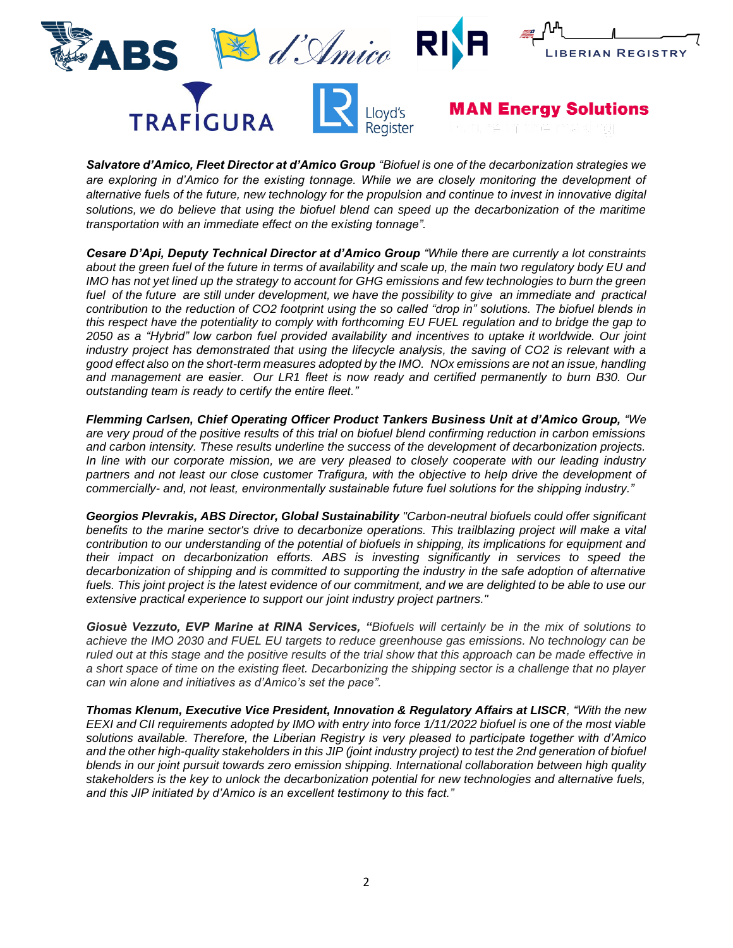



**MAN Energy Solutions** 

*Salvatore d'Amico, Fleet Director at d'Amico Group "Biofuel is one of the decarbonization strategies we are exploring in d'Amico for the existing tonnage. While we are closely monitoring the development of alternative fuels of the future, new technology for the propulsion and continue to invest in innovative digital solutions, we do believe that using the biofuel blend can speed up the decarbonization of the maritime transportation with an immediate effect on the existing tonnage".*

*Cesare D'Api, Deputy Technical Director at d'Amico Group "While there are currently a lot constraints about the green fuel of the future in terms of availability and scale up, the main two regulatory body EU and IMO has not yet lined up the strategy to account for GHG emissions and few technologies to burn the green fuel of the future are still under development, we have the possibility to give an immediate and practical contribution to the reduction of CO2 footprint using the so called "drop in" solutions. The biofuel blends in this respect have the potentiality to comply with forthcoming EU FUEL regulation and to bridge the gap to 2050 as a "Hybrid" low carbon fuel provided availability and incentives to uptake it worldwide. Our joint industry project has demonstrated that using the lifecycle analysis, the saving of CO2 is relevant with a good effect also on the short-term measures adopted by the IMO. NOx emissions are not an issue, handling and management are easier. Our LR1 fleet is now ready and certified permanently to burn B30. Our outstanding team is ready to certify the entire fleet."*

*Flemming Carlsen, Chief Operating Officer Product Tankers Business Unit at d'Amico Group, "We are very proud of the positive results of this trial on biofuel blend confirming reduction in carbon emissions and carbon intensity. These results underline the success of the development of decarbonization projects. In line with our corporate mission, we are very pleased to closely cooperate with our leading industry partners and not least our close customer Trafigura, with the objective to help drive the development of commercially- and, not least, environmentally sustainable future fuel solutions for the shipping industry."*

*Georgios Plevrakis, ABS Director, Global Sustainability "Carbon-neutral biofuels could offer significant*  benefits to the marine sector's drive to decarbonize operations. This trailblazing project will make a vital *contribution to our understanding of the potential of biofuels in shipping, its implications for equipment and their impact on decarbonization efforts. ABS is investing significantly in services to speed the decarbonization of shipping and is committed to supporting the industry in the safe adoption of alternative fuels. This joint project is the latest evidence of our commitment, and we are delighted to be able to use our extensive practical experience to support our joint industry project partners."*

*Giosuè Vezzuto, EVP Marine at RINA Services, "Biofuels will certainly be in the mix of solutions to achieve the IMO 2030 and FUEL EU targets to reduce greenhouse gas emissions. No technology can be ruled out at this stage and the positive results of the trial show that this approach can be made effective in a short space of time on the existing fleet. Decarbonizing the shipping sector is a challenge that no player can win alone and initiatives as d'Amico's set the pace".*

*Thomas Klenum, Executive Vice President, Innovation & Regulatory Affairs at LISCR, "With the new EEXI and CII requirements adopted by IMO with entry into force 1/11/2022 biofuel is one of the most viable solutions available. Therefore, the Liberian Registry is very pleased to participate together with d'Amico and the other high-quality stakeholders in this JIP (joint industry project) to test the 2nd generation of biofuel blends in our joint pursuit towards zero emission shipping. International collaboration between high quality stakeholders is the key to unlock the decarbonization potential for new technologies and alternative fuels, and this JIP initiated by d'Amico is an excellent testimony to this fact."*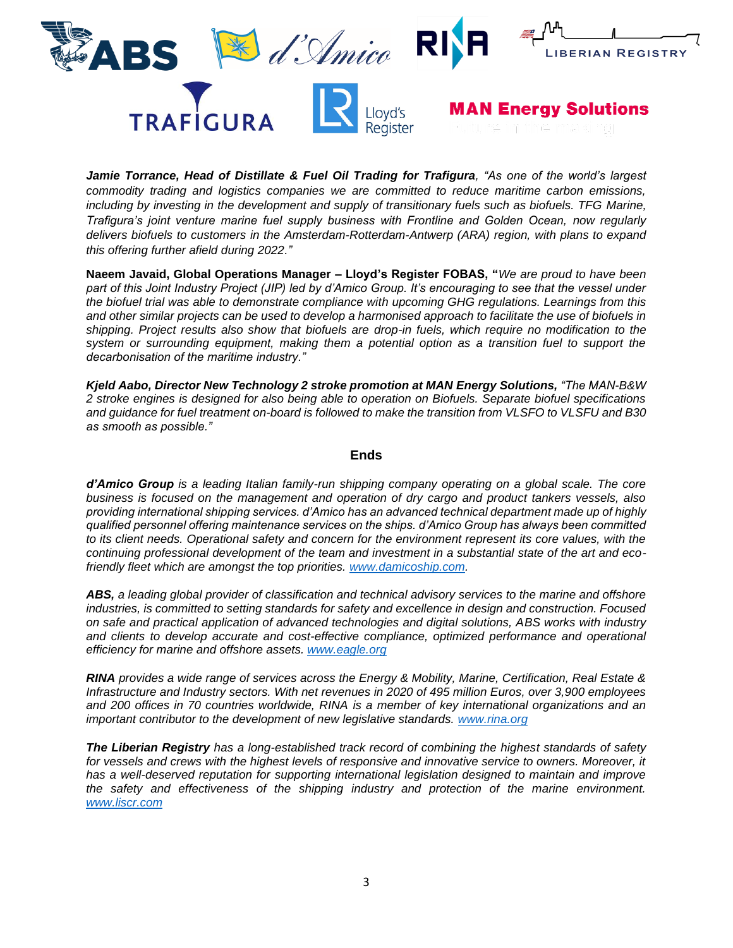



**MAN Energy Solutions** 

*Jamie Torrance, Head of Distillate & Fuel Oil Trading for Trafigura, "As one of the world's largest commodity trading and logistics companies we are committed to reduce maritime carbon emissions, including by investing in the development and supply of transitionary fuels such as biofuels. TFG Marine, Trafigura's joint venture marine fuel supply business with Frontline and Golden Ocean, now regularly delivers biofuels to customers in the Amsterdam-Rotterdam-Antwerp (ARA) region, with plans to expand this offering further afield during 2022."*

**Naeem Javaid, Global Operations Manager – Lloyd's Register FOBAS, "***We are proud to have been part of this Joint Industry Project (JIP) led by d'Amico Group. It's encouraging to see that the vessel under the biofuel trial was able to demonstrate compliance with upcoming GHG regulations. Learnings from this and other similar projects can be used to develop a harmonised approach to facilitate the use of biofuels in shipping. Project results also show that biofuels are drop-in fuels, which require no modification to the system or surrounding equipment, making them a potential option as a transition fuel to support the decarbonisation of the maritime industry."*

*Kjeld Aabo, Director New Technology 2 stroke promotion at MAN Energy Solutions, "The MAN-B&W 2 stroke engines is designed for also being able to operation on Biofuels. Separate biofuel specifications and guidance for fuel treatment on-board is followed to make the transition from VLSFO to VLSFU and B30 as smooth as possible."*

### **Ends**

*d'Amico Group is a leading Italian family-run shipping company operating on a global scale. The core business is focused on the management and operation of dry cargo and product tankers vessels, also providing international shipping services. d'Amico has an advanced technical department made up of highly qualified personnel offering maintenance services on the ships. d'Amico Group has always been committed to its client needs. Operational safety and concern for the environment represent its core values, with the continuing professional development of the team and investment in a substantial state of the art and ecofriendly fleet which are amongst the top priorities. [www.damicoship.com.](http://www.damicoship.com/)* 

*ABS, a leading global provider of classification and technical advisory services to the marine and offshore industries, is committed to setting standards for safety and excellence in design and construction. Focused on safe and practical application of advanced technologies and digital solutions, ABS works with industry and clients to develop accurate and cost-effective compliance, optimized performance and operational efficiency for marine and offshore assets. [www.eagle.org](http://www.eagle.org/)*

*RINA provides a wide range of services across the Energy & Mobility, Marine, Certification, Real Estate & Infrastructure and Industry sectors. With net revenues in 2020 of 495 million Euros, over 3,900 employees and 200 offices in 70 countries worldwide, RINA is a member of key international organizations and an important contributor to the development of new legislative standards. [www.rina.org](http://www.rina.org/)*

*The Liberian Registry has a long-established track record of combining the highest standards of safety for vessels and crews with the highest levels of responsive and innovative service to owners. Moreover, it*  has a well-deserved reputation for supporting international legislation designed to maintain and improve *the safety and effectiveness of the shipping industry and protection of the marine environment. [www.liscr.com](http://www.liscr.com/)*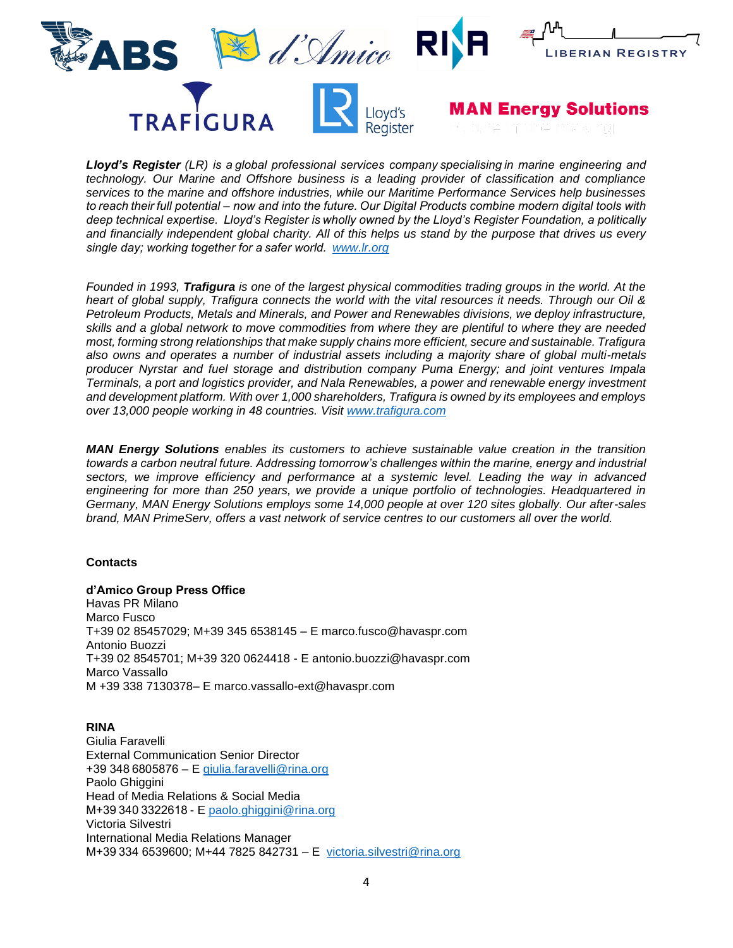

*Lloyd's Register (LR) is a global professional services company specialising in marine engineering and technology. Our Marine and Offshore business is a leading provider of classification and compliance services to the marine and offshore industries, while our Maritime Performance Services help businesses to reach their full potential – now and into the future. Our Digital Products combine modern digital tools with deep technical expertise.  Lloyd's Register is wholly owned by the Lloyd's Register Foundation, a politically and financially independent global charity. All of this helps us stand by the purpose that drives us every single day; working together for a safer world.  [www.lr.org](http://www.lr.org/)* 

*Founded in 1993, Trafigura is one of the largest physical commodities trading groups in the world. At the heart of global supply, Trafigura connects the world with the vital resources it needs. Through our Oil & Petroleum Products, Metals and Minerals, and Power and Renewables divisions, we deploy infrastructure, skills and a global network to move commodities from where they are plentiful to where they are needed most, forming strong relationships that make supply chains more efficient, secure and sustainable. Trafigura also owns and operates a number of industrial assets including a majority share of global multi-metals producer Nyrstar and fuel storage and distribution company Puma Energy; and joint ventures Impala Terminals, a port and logistics provider, and Nala Renewables, a power and renewable energy investment and development platform. With over 1,000 shareholders, Trafigura is owned by its employees and employs over 13,000 people working in 48 countries. Visit [www.trafigura.com](http://www.trafigura.com/)*

*MAN Energy Solutions enables its customers to achieve sustainable value creation in the transition towards a carbon neutral future. Addressing tomorrow's challenges within the marine, energy and industrial sectors, we improve efficiency and performance at a systemic level. Leading the way in advanced engineering for more than 250 years, we provide a unique portfolio of technologies. Headquartered in Germany, MAN Energy Solutions employs some 14,000 people at over 120 sites globally. Our after-sales brand, MAN PrimeServ, offers a vast network of service centres to our customers all over the world.*

### **Contacts**

### **d'Amico Group Press Office**

Havas PR Milano Marco Fusco T+39 02 85457029; M+39 345 6538145 – E marco.fusco@havaspr.com Antonio Buozzi T+39 02 8545701; M+39 320 0624418 - E antonio.buozzi@havaspr.com Marco Vassallo M +39 338 7130378– E marco.vassallo-ext@havaspr.com

### **RINA**

Giulia Faravelli External Communication Senior Director +39 348 6805876 – E [giulia.faravelli@rina.org](mailto:giulia.faravelli@rina.org) Paolo Ghiggini Head of Media Relations & Social Media M+39 340 3322618 - E [paolo.ghiggini@rina.org](mailto:paolo.ghiggini@rina.org) Victoria Silvestri International Media Relations Manager M+39 334 6539600; M+44 7825 842731 – E [victoria.silvestri@rina.org](mailto:victoria.silvestri@rina.org)